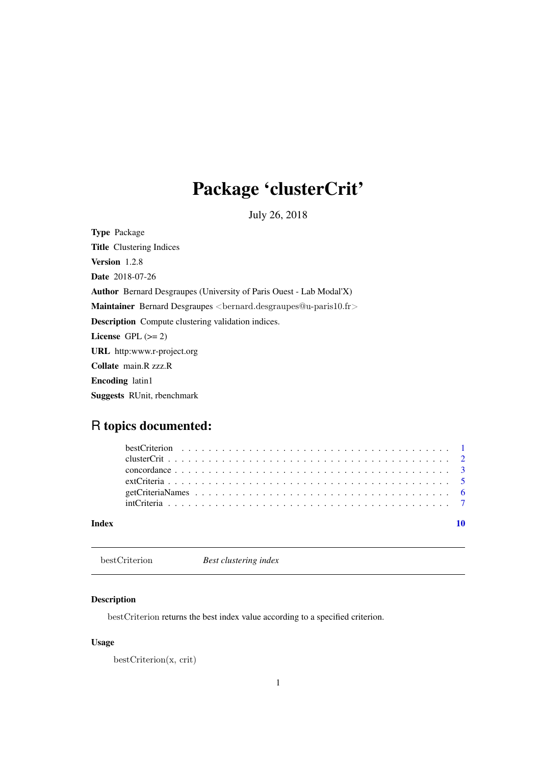## <span id="page-0-0"></span>Package 'clusterCrit'

July 26, 2018

Type Package Title Clustering Indices Version 1.2.8 Date 2018-07-26 Author Bernard Desgraupes (University of Paris Ouest - Lab Modal'X) Maintainer Bernard Desgraupes <bernard.desgraupes@u-paris10.fr> Description Compute clustering validation indices. License GPL  $(>= 2)$ URL http:www.r-project.org Collate main.R zzz.R Encoding latin1 Suggests RUnit, rbenchmark

### R topics documented:

| Index |  |
|-------|--|
|       |  |
|       |  |
|       |  |
|       |  |
|       |  |
|       |  |

<span id="page-0-1"></span>bestCriterion *Best clustering index*

#### Description

bestCriterion returns the best index value according to a specified criterion.

#### Usage

```
bestCriterion(x, crit)
```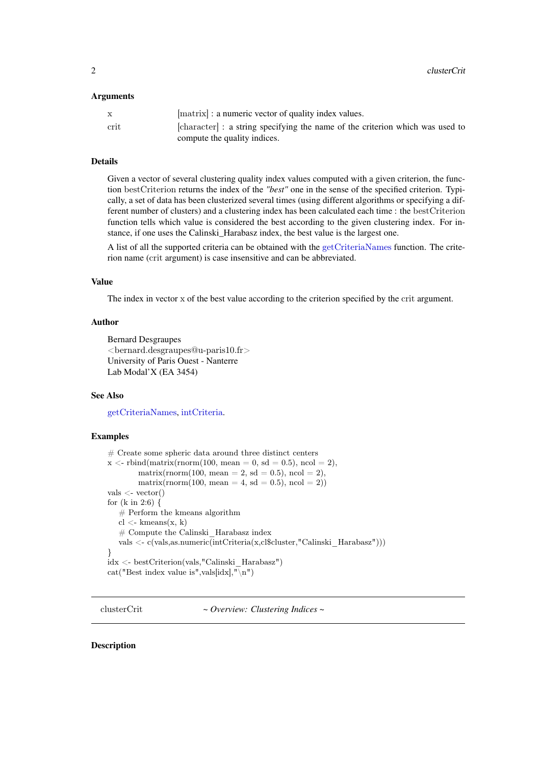#### <span id="page-1-0"></span>Arguments

| crit | [character] : a string specifying the name of the criterion which was used to |
|------|-------------------------------------------------------------------------------|
|      | compute the quality indices.                                                  |

#### Details

Given a vector of several clustering quality index values computed with a given criterion, the function bestCriterion returns the index of the *"best"* one in the sense of the specified criterion. Typically, a set of data has been clusterized several times (using different algorithms or specifying a different number of clusters) and a clustering index has been calculated each time : the bestCriterion function tells which value is considered the best according to the given clustering index. For instance, if one uses the Calinski\_Harabasz index, the best value is the largest one.

A list of all the supported criteria can be obtained with the [getCriteriaNames](#page-5-1) function. The criterion name (crit argument) is case insensitive and can be abbreviated.

#### Value

The index in vector x of the best value according to the criterion specified by the crit argument.

#### Author

```
Bernard Desgraupes
<bernard.desgraupes@u-paris10.fr>
University of Paris Ouest - Nanterre
Lab Modal'X (EA 3454)
```
#### See Also

[getCriteriaNames](#page-5-1), [intCriteria](#page-6-1).

#### Examples

```
# Create some spheric data around three distinct centers
x \le- rbind(matrix(rnorm(100, mean = 0, sd = 0.5), ncol = 2),
        matrix(rnorm(100, mean = 2, sd = 0.5), ncol = 2),
        matrix(rnorm(100, mean = 4, sd = 0.5), ncol = 2))
vals < - vector()for (k \in \{12:6\} {
   # Perform the kmeans algorithm
   cl <- kmeans(x, k)# Compute the Calinski_Harabasz index
   vals <- c(vals,as.numeric(intCriteria(x,cl$cluster,"Calinski_Harabasz")))
}
idx <- bestCriterion(vals,"Calinski_Harabasz")
```
cat("Best index value is", vals[idx],  $\sqrt[n]{\mathbf{n}}$ ")

clusterCrit *~ Overview: Clustering Indices ~*

#### Description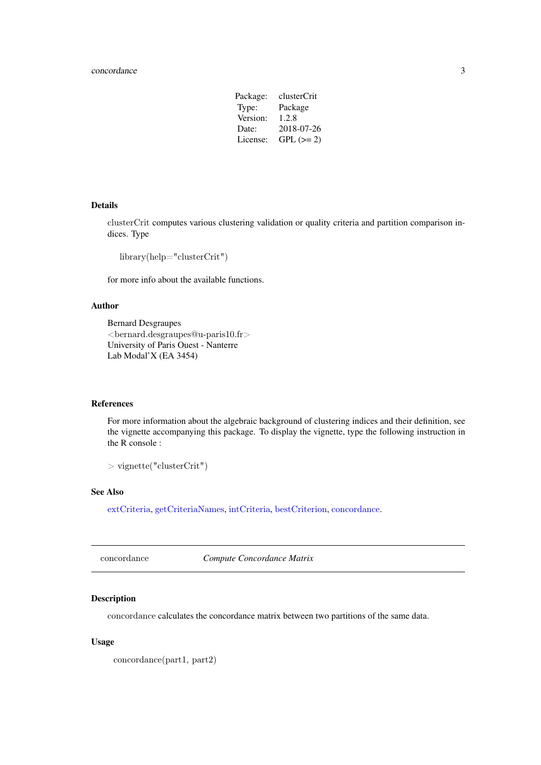#### <span id="page-2-0"></span>concordance 3

| clusterCrit |
|-------------|
| Package     |
| 1.2.8       |
| 2018-07-26  |
| $GPL (= 2)$ |
|             |

#### Details

clusterCrit computes various clustering validation or quality criteria and partition comparison indices. Type

library(help="clusterCrit")

for more info about the available functions.

#### Author

Bernard Desgraupes <bernard.desgraupes@u-paris10.fr> University of Paris Ouest - Nanterre Lab Modal'X (EA 3454)

#### References

For more information about the algebraic background of clustering indices and their definition, see the vignette accompanying this package. To display the vignette, type the following instruction in the R console :

 $>$  vignette("clusterCrit")

#### See Also

[extCriteria](#page-4-1), [getCriteriaNames](#page-5-1), [intCriteria](#page-6-1), [bestCriterion](#page-0-1), [concordance](#page-2-1).

<span id="page-2-1"></span>concordance *Compute Concordance Matrix*

#### Description

concordance calculates the concordance matrix between two partitions of the same data.

#### Usage

concordance(part1, part2)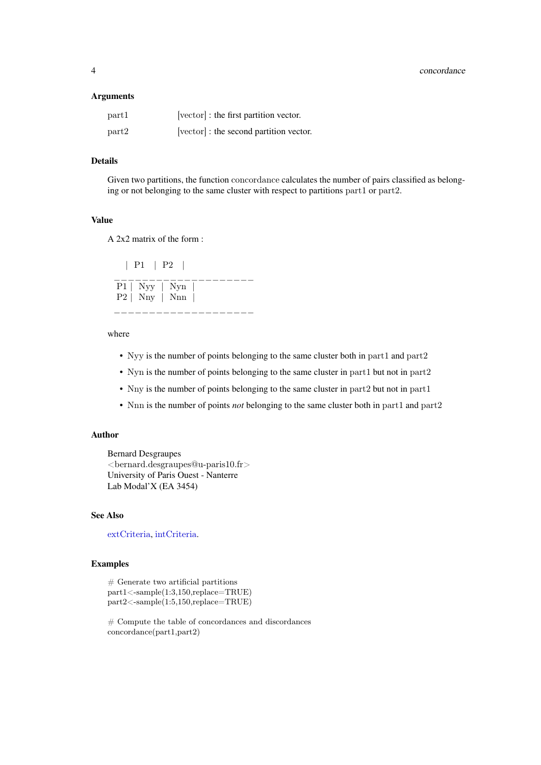#### <span id="page-3-0"></span>Arguments

| part1 | [vector] : the first partition vector.  |
|-------|-----------------------------------------|
| part2 | [vector] : the second partition vector. |

#### Details

Given two partitions, the function concordance calculates the number of pairs classified as belonging or not belonging to the same cluster with respect to partitions part1 or part2.

#### Value

A 2x2 matrix of the form :

| P1 | P2 | \_\_\_\_\_\_\_\_\_\_\_\_\_\_\_\_\_\_\_\_\_  $P1$  | Nyy | Nyn P2 | Nny | Nnn | \_\_\_\_\_\_\_\_\_\_\_\_\_\_\_\_\_\_\_\_

#### where

- Nyy is the number of points belonging to the same cluster both in part1 and part2
- Nyn is the number of points belonging to the same cluster in part1 but not in part2
- Nny is the number of points belonging to the same cluster in part2 but not in part1
- Nnn is the number of points *not* belonging to the same cluster both in part1 and part2

#### Author

Bernard Desgraupes <bernard.desgraupes@u-paris10.fr> University of Paris Ouest - Nanterre Lab Modal'X (EA 3454)

#### See Also

[extCriteria](#page-4-1), [intCriteria](#page-6-1).

#### Examples

 $#$  Generate two artificial partitions part1<-sample(1:3,150,replace=TRUE) part2<-sample(1:5,150,replace=TRUE)

# Compute the table of concordances and discordances concordance(part1,part2)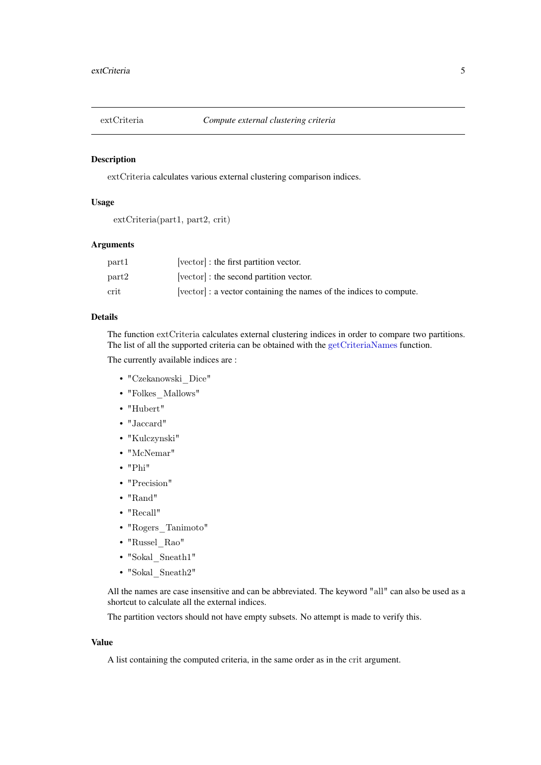<span id="page-4-1"></span><span id="page-4-0"></span>

#### Description

extCriteria calculates various external clustering comparison indices.

#### Usage

```
extCriteria(part1, part2, crit)
```
#### Arguments

| part1 | [vector] : the first partition vector.                              |
|-------|---------------------------------------------------------------------|
| part2 | [vector] : the second partition vector.                             |
| crit  | [vector] : a vector containing the names of the indices to compute. |

#### Details

The function extCriteria calculates external clustering indices in order to compare two partitions. The list of all the supported criteria can be obtained with the [getCriteriaNames](#page-5-1) function.

The currently available indices are :

- "Czekanowski\_Dice"
- "Folkes\_Mallows"
- "Hubert"
- "Jaccard"
- "Kulczynski"
- "McNemar"
- "Phi"
- "Precision"
- "Rand"
- "Recall"
- "Rogers\_Tanimoto"
- "Russel\_Rao"
- "Sokal\_Sneath1"
- $\bullet$  "Sokal\_Sneath2"

All the names are case insensitive and can be abbreviated. The keyword "all" can also be used as a shortcut to calculate all the external indices.

The partition vectors should not have empty subsets. No attempt is made to verify this.

#### Value

A list containing the computed criteria, in the same order as in the crit argument.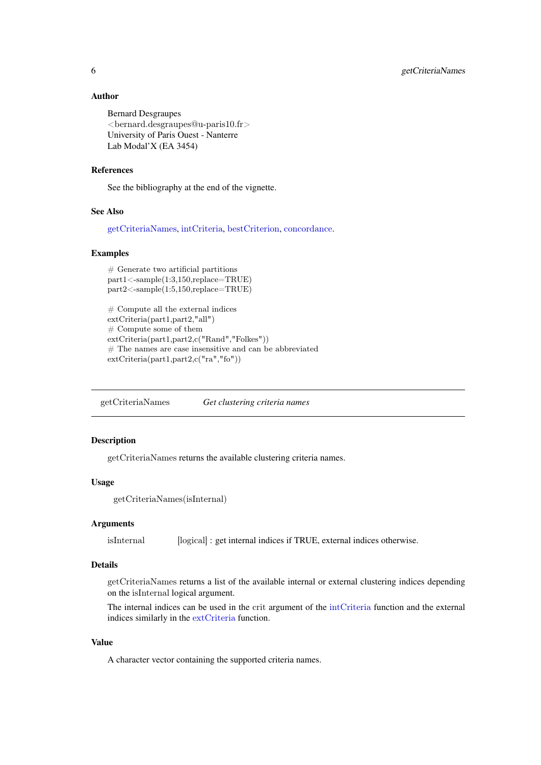#### <span id="page-5-0"></span>Author

```
Bernard Desgraupes
\leqbernard.desgraupes@u-paris10.fr>
University of Paris Ouest - Nanterre
Lab Modal'X (EA 3454)
```
#### References

See the bibliography at the end of the vignette.

#### See Also

[getCriteriaNames](#page-5-1), [intCriteria](#page-6-1), [bestCriterion](#page-0-1), [concordance](#page-2-1).

#### Examples

```
# Generate two artificial partitions
part1<-sample(1:3,150,replace=TRUE)
part2<-sample(1:5,150,replace=TRUE)
```

```
# Compute all the external indices
extCriteria(part1,part2,"all")
# Compute some of them
extCriteria(part1,part2,c("Rand","Folkes"))
# The names are case insensitive and can be abbreviated
extCriteria(part1,part2,c("ra","fo"))
```
<span id="page-5-1"></span>getCriteriaNames *Get clustering criteria names*

#### Description

getCriteriaNames returns the available clustering criteria names.

#### Usage

getCriteriaNames(isInternal)

#### Arguments

isInternal [logical] : get internal indices if TRUE, external indices otherwise.

#### Details

getCriteriaNames returns a list of the available internal or external clustering indices depending on the isInternal logical argument.

The internal indices can be used in the crit argument of the [intCriteria](#page-6-1) function and the external indices similarly in the [extCriteria](#page-4-1) function.

#### Value

A character vector containing the supported criteria names.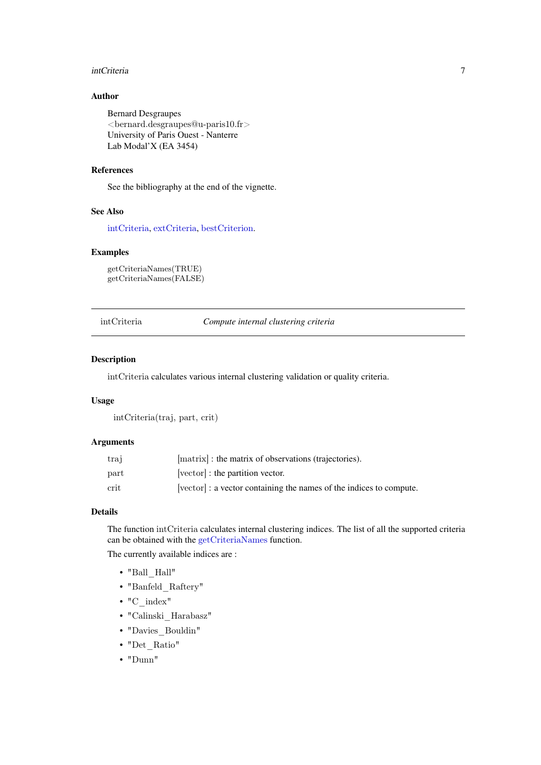#### <span id="page-6-0"></span>intCriteria 7

#### Author

Bernard Desgraupes <bernard.desgraupes@u-paris10.fr> University of Paris Ouest - Nanterre Lab Modal'X (EA 3454)

#### References

See the bibliography at the end of the vignette.

#### See Also

[intCriteria](#page-6-1), [extCriteria](#page-4-1), [bestCriterion](#page-0-1).

#### Examples

getCriteriaNames(TRUE) getCriteriaNames(FALSE)

<span id="page-6-1"></span>intCriteria *Compute internal clustering criteria*

#### Description

intCriteria calculates various internal clustering validation or quality criteria.

#### Usage

intCriteria(traj, part, crit)

#### Arguments

| trai                  | [matrix] : the matrix of observations (trajectories).             |
|-----------------------|-------------------------------------------------------------------|
| part                  | [vector] : the partition vector.                                  |
| $\operatorname{crit}$ | vector : a vector containing the names of the indices to compute. |

#### Details

The function intCriteria calculates internal clustering indices. The list of all the supported criteria can be obtained with the [getCriteriaNames](#page-5-1) function.

The currently available indices are :

- $\bullet$  "Ball\_Hall"
- "Banfeld\_Raftery"
- "C\_index"
- "Calinski\_Harabasz"
- "Davies\_Bouldin"
- "Det\_Ratio"
- "Dunn"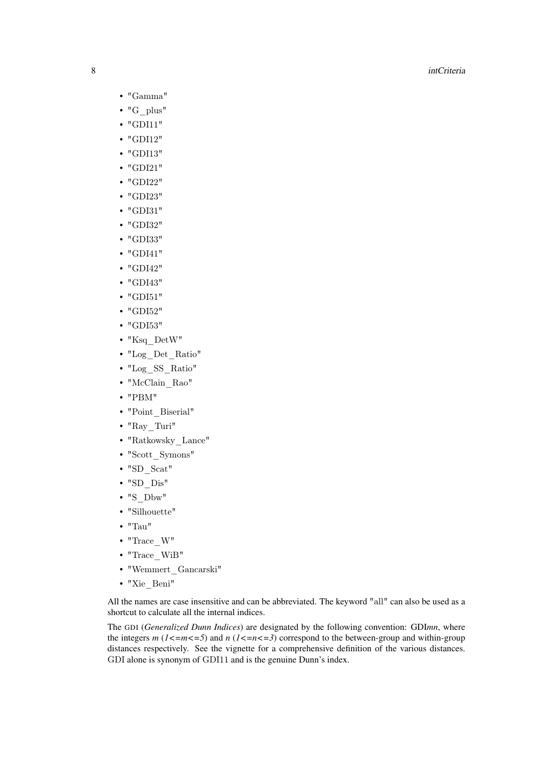- "Gamma"
- "G\_plus"
- "GDI11"
- "GDI12"
- "GDI13"
- "GDI21"
- "GDI22"
- "GDI23"
- "GDI31"
- "GDI32"
- "GDI33"
- "GDI41"
- "GDI42"
- "GDI43"
- "GDI51"
- "GDI52"
- "GDI53"
- "Ksq\_DetW"
- "Log\_Det\_Ratio"
- "Log\_SS\_Ratio"
- "McClain\_Rao"
- "PBM"
- "Point\_Biserial"
- "Ray\_Turi"
- "Ratkowsky\_Lance"
- "Scott\_Symons"
- "SD\_Scat"
- "SD\_Dis"
- $\cdot$  "S\_Dbw"
- "Silhouette"
- "Tau"
- $\bullet$  "Trace\_W"
- "Trace\_WiB"
- "Wemmert\_Gancarski"
- "Xie\_Beni"

All the names are case insensitive and can be abbreviated. The keyword "all" can also be used as a shortcut to calculate all the internal indices.

The GDI (*Generalized Dunn Indices*) are designated by the following convention: GDI*mn*, where the integers  $m$  ( $1 < = m < = 5$ ) and  $n$  ( $1 < = n < = 3$ ) correspond to the between-group and within-group distances respectively. See the vignette for a comprehensive definition of the various distances. GDI alone is synonym of GDI11 and is the genuine Dunn's index.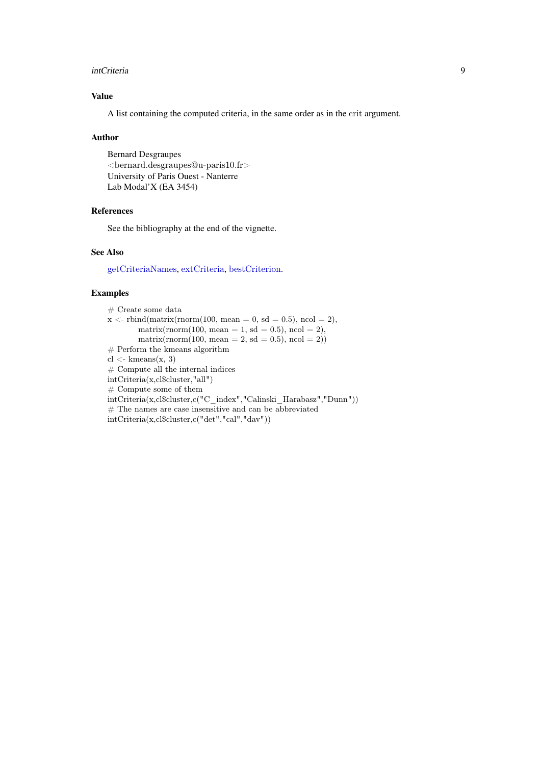#### <span id="page-8-0"></span>intCriteria 9

#### Value

A list containing the computed criteria, in the same order as in the crit argument.

#### Author

Bernard Desgraupes <bernard.desgraupes@u-paris10.fr> University of Paris Ouest - Nanterre Lab Modal'X (EA 3454)

#### References

See the bibliography at the end of the vignette.

#### See Also

[getCriteriaNames](#page-5-1), [extCriteria](#page-4-1), [bestCriterion](#page-0-1).

#### Examples

| $#$ Create some data                                               |
|--------------------------------------------------------------------|
| $x <$ -rbind(matrix(rnorm(100, mean = 0, sd = 0.5), ncol = 2),     |
| $matrix($ norm(100, mean = 1, sd = 0.5), ncol = 2),                |
| $matrix(norm(100, mean = 2, sd = 0.5), ncol = 2))$                 |
| $#$ Perform the kmeans algorithm                                   |
| $cl <$ - kmeans $(x, 3)$                                           |
| $#$ Compute all the internal indices                               |
| intCriteria(x, cl\$cluster," all")                                 |
| $#$ Compute some of them                                           |
| intCriteria(x,cl\$cluster,c("C index","Calinski Harabasz","Dunn")) |
| $#$ The names are case insensitive and can be abbreviated          |
| $intCriteria(x, cl$cluster, c("det", "cal", "day"))$               |
|                                                                    |